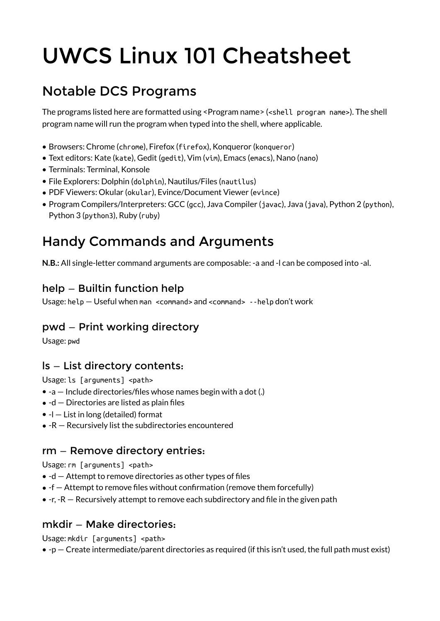# UWCS Linux 101 Cheatsheet

# Notable DCS Programs

The programs listed here are formatted using <Program name> (<shell program name>). The shell program name will run the program when typed into the shell, where applicable.

- Browsers: Chrome (chrome), Firefox (firefox), Konqueror (konqueror)
- Text editors: Kate (kate), Gedit (gedit), Vim (vim), Emacs (emacs), Nano (nano)
- Terminals: Terminal, Konsole
- File Explorers: Dolphin (dolphin), Nautilus/Files (nautilus)
- PDF Viewers: Okular (okular), Evince/Document Viewer (evince)
- Program Compilers/Interpreters: GCC (gcc), Java Compiler (javac), Java (java), Python 2 (python), Python 3 (python3), Ruby (ruby)

# Handy Commands and Arguments

**N.B.:** All single-letter command arguments are composable: -a and -l can be composed into -al.

# help — Builtin function help

Usage: help — Useful when man <command> and <command> --help don't work

# pwd — Print working directory

Usage: pwd

# ls — List directory contents:

Usage: ls [arguments] <path>

- -a Include directories/files whose names begin with a dot (.)
- $\bullet$  -d  $-$  Directories are listed as plain files
- $\bullet$  -l List in long (detailed) format
- -R Recursively list the subdirectories encountered

#### rm — Remove directory entries:

Usage: rm [arguments] <path>

- $\bullet$  -d  $-$  Attempt to remove directories as other types of files
- -f Attempt to remove files without confirmation (remove them forcefully)
- $\bullet$  -r, -R  $-$  Recursively attempt to remove each subdirectory and file in the given path

#### mkdir — Make directories:

Usage: mkdir [arguments] <path>

 $\bullet$  -p – Create intermediate/parent directories as required (if this isn't used, the full path must exist)